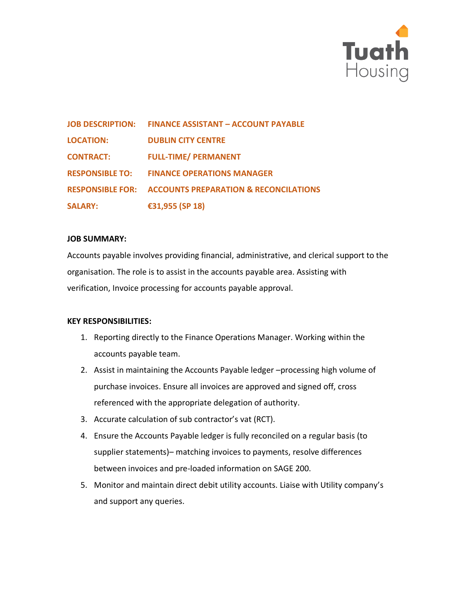

| <b>JOB DESCRIPTION:</b> | <b>FINANCE ASSISTANT - ACCOUNT PAYABLE</b>                        |
|-------------------------|-------------------------------------------------------------------|
| <b>LOCATION:</b>        | <b>DUBLIN CITY CENTRE</b>                                         |
| <b>CONTRACT:</b>        | <b>FULL-TIME/ PERMANENT</b>                                       |
| <b>RESPONSIBLE TO:</b>  | <b>FINANCE OPERATIONS MANAGER</b>                                 |
|                         | <b>RESPONSIBLE FOR: ACCOUNTS PREPARATION &amp; RECONCILATIONS</b> |
| <b>SALARY:</b>          | €31,955 (SP 18)                                                   |

#### **JOB SUMMARY:**

Accounts payable involves providing financial, administrative, and clerical support to the organisation. The role is to assist in the accounts payable area. Assisting with verification, Invoice processing for accounts payable approval.

### **KEY RESPONSIBILITIES:**

- 1. Reporting directly to the Finance Operations Manager. Working within the accounts payable team.
- 2. Assist in maintaining the Accounts Payable ledger –processing high volume of purchase invoices. Ensure all invoices are approved and signed off, cross referenced with the appropriate delegation of authority.
- 3. Accurate calculation of sub contractor's vat (RCT).
- 4. Ensure the Accounts Payable ledger is fully reconciled on a regular basis (to supplier statements)– matching invoices to payments, resolve differences between invoices and pre-loaded information on SAGE 200.
- 5. Monitor and maintain direct debit utility accounts. Liaise with Utility company's and support any queries.